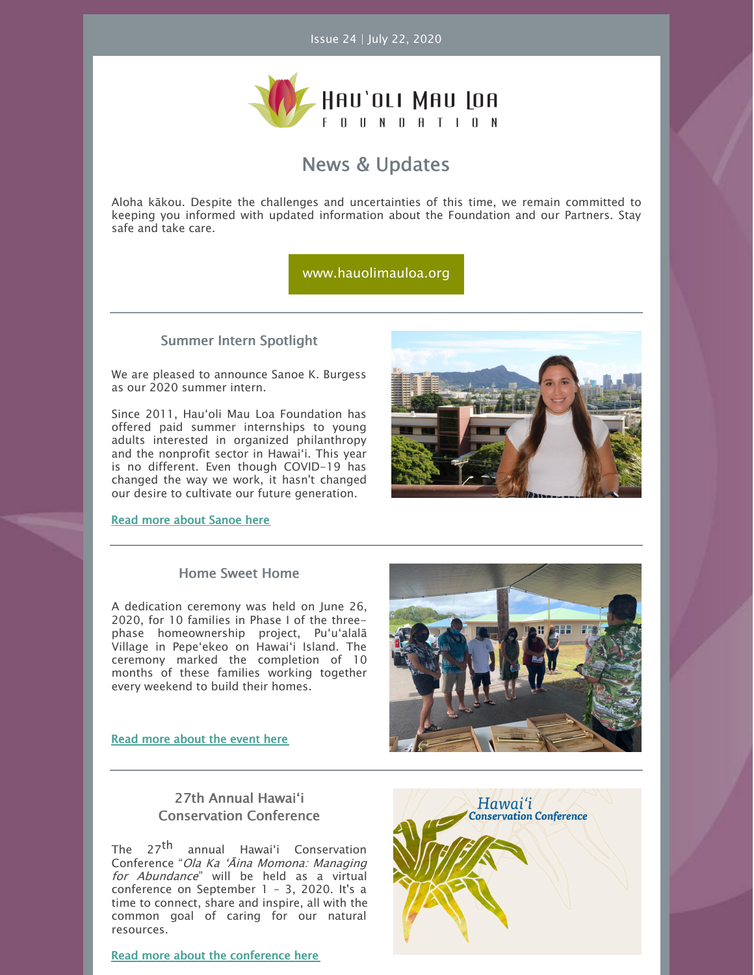

## News & Updates

Aloha kākou. Despite the challenges and uncertainties of this time, we remain committed to keeping you informed with updated information about the Foundation and our Partners. Stay safe and take care.

[www.hauolimauloa.org](http://www.hauolimauloa.org)

#### Summer Intern Spotlight

We are pleased to announce Sanoe K. Burgess as our 2020 summer intern.

Since 2011, Hauʻoli Mau Loa Foundation has offered paid summer internships to young adults interested in organized philanthropy and the nonprofit sector in Hawaiʻi. This year is no different. Even though COVID-19 has changed the way we work, it hasn't changed our desire to cultivate our future generation.

Read more about [Sanoe](https://www.hauolimauloa.org/2020-summer-intern-sanoe-burgess) here



#### Home Sweet Home

A dedication ceremony was held on June 26, 2020, for 10 families in Phase I of the threephase homeownership project, Puʻuʻalalā Village in Pepeʻekeo on Hawaiʻi Island. The ceremony marked the completion of 10 months of these families working together every weekend to build their homes.

#### Read more [about](https://www.hauolimauloa.org/puualala-village-phase-i-dedication-ceremony-june-26-2020) the event here



### 27th Annual Hawaiʻi Conservation Conference

The 27<sup>th</sup> annual Hawaiʻi Conservation Conference "Ola Ka ʻĀina Momona: Managing for Abundance" will be held as a virtual conference on September 1 – 3, 2020. It's a time to connect, share and inspire, all with the common goal of caring for our natural resources.

Read more about the [conference](https://www.hauolimauloa.org/upcoming-event-2020-hcc) here